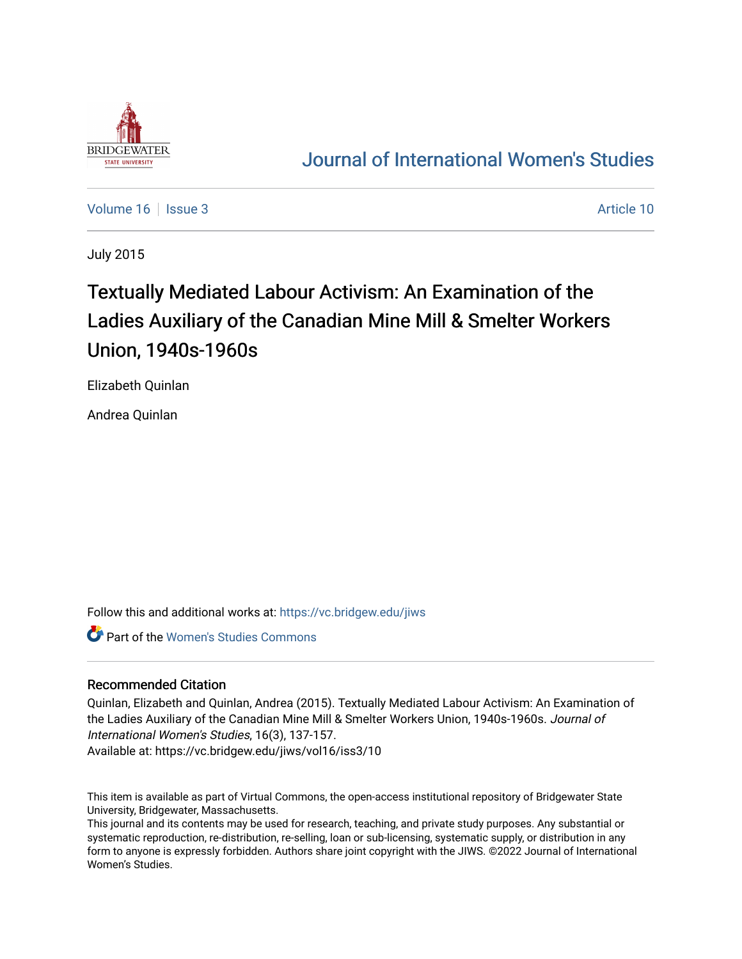

## [Journal of International Women's Studies](https://vc.bridgew.edu/jiws)

[Volume 16](https://vc.bridgew.edu/jiws/vol16) September 2014 10:00 10:00 10:00 10:00 10:00 10:00 10:00 10:00 10:00 10:00 10:00 10:00 10:00 10:00 10:00 10:00 10:00 10:00 10:00 10:00 10:00 10:00 10:00 10:00 10:00 10:00 10:00 10:00 10:00 10:00 10:00 10:00 10:00

July 2015

# Textually Mediated Labour Activism: An Examination of the Ladies Auxiliary of the Canadian Mine Mill & Smelter Workers Union, 1940s-1960s

Elizabeth Quinlan

Andrea Quinlan

Follow this and additional works at: [https://vc.bridgew.edu/jiws](https://vc.bridgew.edu/jiws?utm_source=vc.bridgew.edu%2Fjiws%2Fvol16%2Fiss3%2F10&utm_medium=PDF&utm_campaign=PDFCoverPages)

Part of the [Women's Studies Commons](http://network.bepress.com/hgg/discipline/561?utm_source=vc.bridgew.edu%2Fjiws%2Fvol16%2Fiss3%2F10&utm_medium=PDF&utm_campaign=PDFCoverPages) 

#### Recommended Citation

Quinlan, Elizabeth and Quinlan, Andrea (2015). Textually Mediated Labour Activism: An Examination of the Ladies Auxiliary of the Canadian Mine Mill & Smelter Workers Union, 1940s-1960s. Journal of International Women's Studies, 16(3), 137-157.

Available at: https://vc.bridgew.edu/jiws/vol16/iss3/10

This item is available as part of Virtual Commons, the open-access institutional repository of Bridgewater State University, Bridgewater, Massachusetts.

This journal and its contents may be used for research, teaching, and private study purposes. Any substantial or systematic reproduction, re-distribution, re-selling, loan or sub-licensing, systematic supply, or distribution in any form to anyone is expressly forbidden. Authors share joint copyright with the JIWS. ©2022 Journal of International Women's Studies.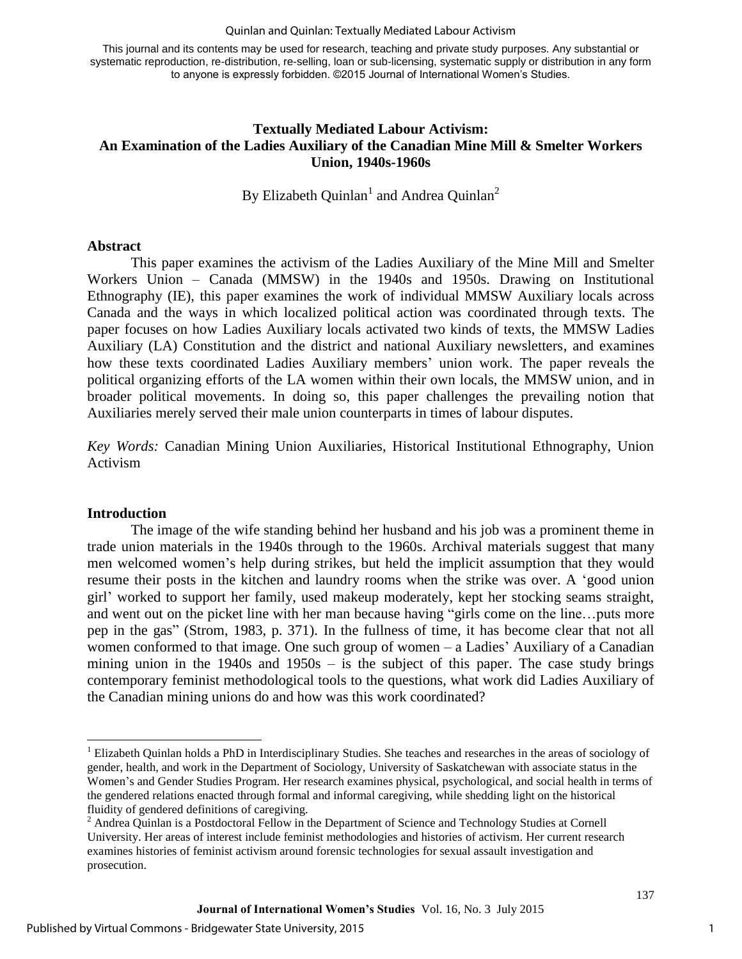#### Quinlan and Quinlan: Textually Mediated Labour Activism

This journal and its contents may be used for research, teaching and private study purposes. Any substantial or systematic reproduction, re-distribution, re-selling, loan or sub-licensing, systematic supply or distribution in any form to anyone is expressly forbidden. ©2015 Journal of International Women's Studies.

#### **Textually Mediated Labour Activism: An Examination of the Ladies Auxiliary of the Canadian Mine Mill & Smelter Workers Union, 1940s-1960s**

By Elizabeth Quinlan<sup>1</sup> and Andrea Quinlan<sup>2</sup>

#### **Abstract**

This paper examines the activism of the Ladies Auxiliary of the Mine Mill and Smelter Workers Union – Canada (MMSW) in the 1940s and 1950s. Drawing on Institutional Ethnography (IE), this paper examines the work of individual MMSW Auxiliary locals across Canada and the ways in which localized political action was coordinated through texts. The paper focuses on how Ladies Auxiliary locals activated two kinds of texts, the MMSW Ladies Auxiliary (LA) Constitution and the district and national Auxiliary newsletters, and examines how these texts coordinated Ladies Auxiliary members' union work. The paper reveals the political organizing efforts of the LA women within their own locals, the MMSW union, and in broader political movements. In doing so, this paper challenges the prevailing notion that Auxiliaries merely served their male union counterparts in times of labour disputes.

*Key Words:* Canadian Mining Union Auxiliaries, Historical Institutional Ethnography, Union Activism

#### **Introduction**

 $\overline{\phantom{a}}$ 

The image of the wife standing behind her husband and his job was a prominent theme in trade union materials in the 1940s through to the 1960s. Archival materials suggest that many men welcomed women's help during strikes, but held the implicit assumption that they would resume their posts in the kitchen and laundry rooms when the strike was over. A 'good union girl' worked to support her family, used makeup moderately, kept her stocking seams straight, and went out on the picket line with her man because having "girls come on the line…puts more pep in the gas" (Strom, 1983, p. 371). In the fullness of time, it has become clear that not all women conformed to that image. One such group of women – a Ladies' Auxiliary of a Canadian mining union in the 1940s and 1950s – is the subject of this paper. The case study brings contemporary feminist methodological tools to the questions, what work did Ladies Auxiliary of the Canadian mining unions do and how was this work coordinated?

1

<sup>&</sup>lt;sup>1</sup> Elizabeth Quinlan holds a PhD in Interdisciplinary Studies. She teaches and researches in the areas of sociology of gender, health, and work in the Department of Sociology, University of Saskatchewan with associate status in the Women's and Gender Studies Program. Her research examines physical, psychological, and social health in terms of the gendered relations enacted through formal and informal caregiving, while shedding light on the historical fluidity of gendered definitions of caregiving.

<sup>&</sup>lt;sup>2</sup> Andrea Quinlan is a Postdoctoral Fellow in the Department of Science and Technology Studies at Cornell University. Her areas of interest include feminist methodologies and histories of activism. Her current research examines histories of feminist activism around forensic technologies for sexual assault investigation and prosecution.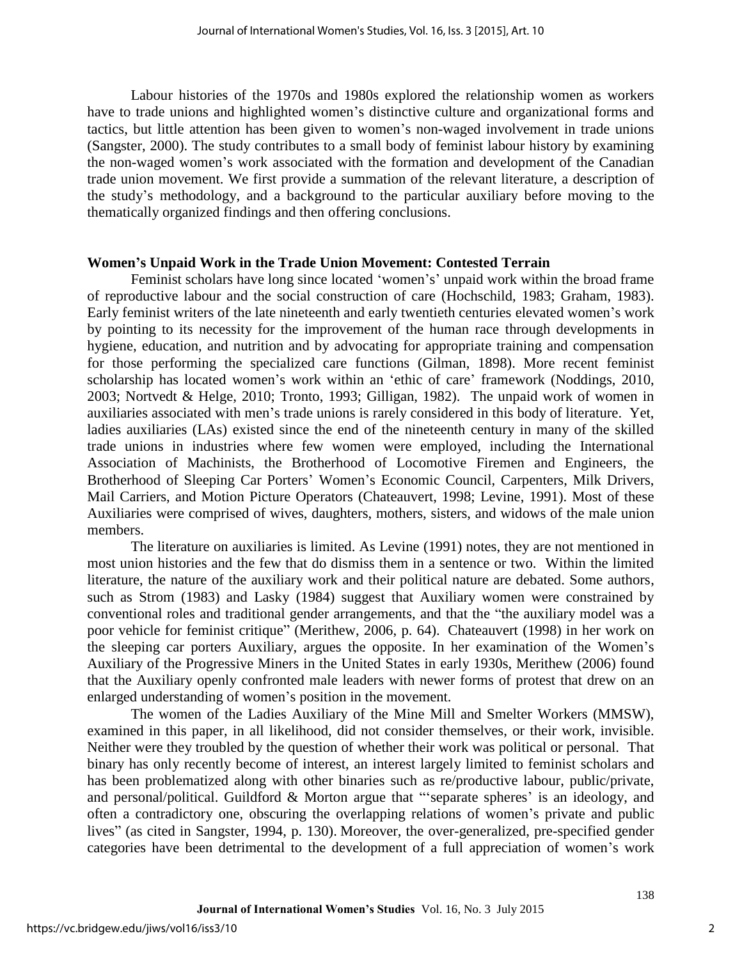Labour histories of the 1970s and 1980s explored the relationship women as workers have to trade unions and highlighted women's distinctive culture and organizational forms and tactics, but little attention has been given to women's non-waged involvement in trade unions (Sangster, 2000). The study contributes to a small body of feminist labour history by examining the non-waged women's work associated with the formation and development of the Canadian trade union movement. We first provide a summation of the relevant literature, a description of the study's methodology, and a background to the particular auxiliary before moving to the thematically organized findings and then offering conclusions.

#### **Women's Unpaid Work in the Trade Union Movement: Contested Terrain**

Feminist scholars have long since located 'women's' unpaid work within the broad frame of reproductive labour and the social construction of care (Hochschild, 1983; Graham, 1983). Early feminist writers of the late nineteenth and early twentieth centuries elevated women's work by pointing to its necessity for the improvement of the human race through developments in hygiene, education, and nutrition and by advocating for appropriate training and compensation for those performing the specialized care functions (Gilman, 1898). More recent feminist scholarship has located women's work within an 'ethic of care' framework (Noddings, 2010, 2003; Nortvedt & Helge, 2010; Tronto, 1993; Gilligan, 1982). The unpaid work of women in auxiliaries associated with men's trade unions is rarely considered in this body of literature. Yet, ladies auxiliaries (LAs) existed since the end of the nineteenth century in many of the skilled trade unions in industries where few women were employed, including the International Association of Machinists, the Brotherhood of Locomotive Firemen and Engineers, the Brotherhood of Sleeping Car Porters' Women's Economic Council, Carpenters, Milk Drivers, Mail Carriers, and Motion Picture Operators (Chateauvert, 1998; Levine, 1991). Most of these Auxiliaries were comprised of wives, daughters, mothers, sisters, and widows of the male union members.

The literature on auxiliaries is limited. As Levine (1991) notes, they are not mentioned in most union histories and the few that do dismiss them in a sentence or two. Within the limited literature, the nature of the auxiliary work and their political nature are debated. Some authors, such as Strom (1983) and Lasky (1984) suggest that Auxiliary women were constrained by conventional roles and traditional gender arrangements, and that the "the auxiliary model was a poor vehicle for feminist critique" (Merithew, 2006, p. 64). Chateauvert (1998) in her work on the sleeping car porters Auxiliary, argues the opposite. In her examination of the Women's Auxiliary of the Progressive Miners in the United States in early 1930s, Merithew (2006) found that the Auxiliary openly confronted male leaders with newer forms of protest that drew on an enlarged understanding of women's position in the movement.

The women of the Ladies Auxiliary of the Mine Mill and Smelter Workers (MMSW), examined in this paper, in all likelihood, did not consider themselves, or their work, invisible. Neither were they troubled by the question of whether their work was political or personal. That binary has only recently become of interest, an interest largely limited to feminist scholars and has been problematized along with other binaries such as re/productive labour, public/private, and personal/political. Guildford & Morton argue that "'separate spheres' is an ideology, and often a contradictory one, obscuring the overlapping relations of women's private and public lives" (as cited in Sangster, 1994, p. 130). Moreover, the over-generalized, pre-specified gender categories have been detrimental to the development of a full appreciation of women's work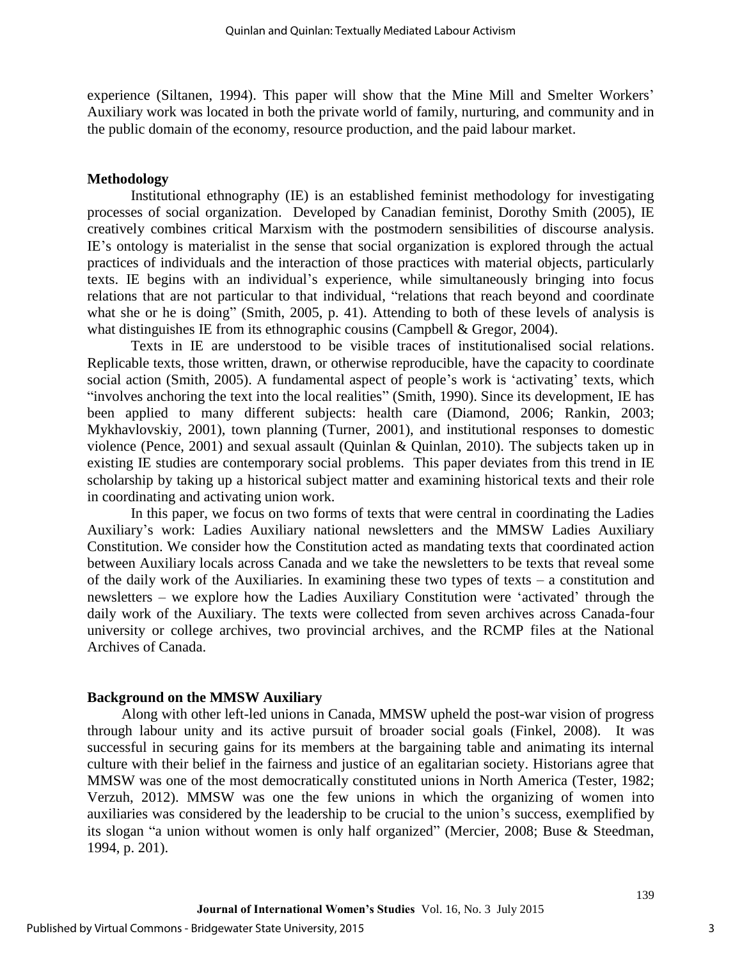experience (Siltanen, 1994). This paper will show that the Mine Mill and Smelter Workers' Auxiliary work was located in both the private world of family, nurturing, and community and in the public domain of the economy, resource production, and the paid labour market.

#### **Methodology**

Institutional ethnography (IE) is an established feminist methodology for investigating processes of social organization. Developed by Canadian feminist, Dorothy Smith (2005), IE creatively combines critical Marxism with the postmodern sensibilities of discourse analysis. IE's ontology is materialist in the sense that social organization is explored through the actual practices of individuals and the interaction of those practices with material objects, particularly texts. IE begins with an individual's experience, while simultaneously bringing into focus relations that are not particular to that individual, "relations that reach beyond and coordinate what she or he is doing" (Smith, 2005, p. 41). Attending to both of these levels of analysis is what distinguishes IE from its ethnographic cousins (Campbell & Gregor, 2004).

Texts in IE are understood to be visible traces of institutionalised social relations. Replicable texts, those written, drawn, or otherwise reproducible, have the capacity to coordinate social action (Smith, 2005). A fundamental aspect of people's work is 'activating' texts, which "involves anchoring the text into the local realities" (Smith, 1990). Since its development, IE has been applied to many different subjects: health care (Diamond, 2006; Rankin, 2003; Mykhavlovskiy, 2001), town planning (Turner, 2001), and institutional responses to domestic violence (Pence, 2001) and sexual assault (Quinlan & Quinlan, 2010). The subjects taken up in existing IE studies are contemporary social problems. This paper deviates from this trend in IE scholarship by taking up a historical subject matter and examining historical texts and their role in coordinating and activating union work.

In this paper, we focus on two forms of texts that were central in coordinating the Ladies Auxiliary's work: Ladies Auxiliary national newsletters and the MMSW Ladies Auxiliary Constitution. We consider how the Constitution acted as mandating texts that coordinated action between Auxiliary locals across Canada and we take the newsletters to be texts that reveal some of the daily work of the Auxiliaries. In examining these two types of texts – a constitution and newsletters – we explore how the Ladies Auxiliary Constitution were 'activated' through the daily work of the Auxiliary. The texts were collected from seven archives across Canada-four university or college archives, two provincial archives, and the RCMP files at the National Archives of Canada.

#### **Background on the MMSW Auxiliary**

Along with other left-led unions in Canada, MMSW upheld the post-war vision of progress through labour unity and its active pursuit of broader social goals (Finkel, 2008). It was successful in securing gains for its members at the bargaining table and animating its internal culture with their belief in the fairness and justice of an egalitarian society. Historians agree that MMSW was one of the most democratically constituted unions in North America (Tester, 1982; Verzuh, 2012). MMSW was one the few unions in which the organizing of women into auxiliaries was considered by the leadership to be crucial to the union's success, exemplified by its slogan "a union without women is only half organized" (Mercier, 2008; Buse & Steedman, 1994, p. 201).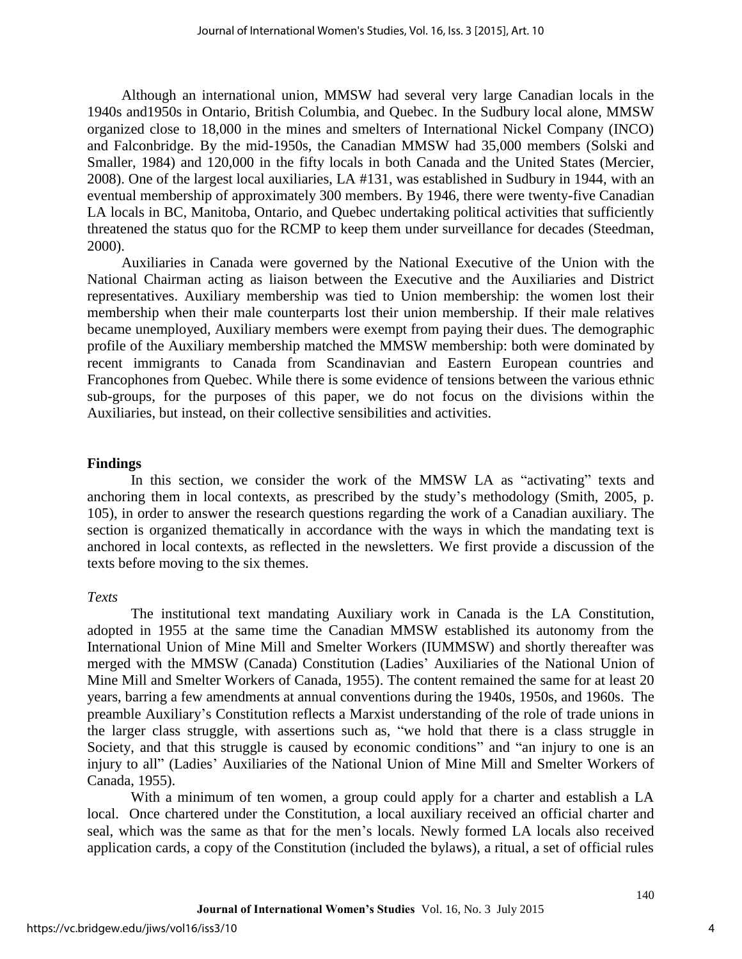Although an international union, MMSW had several very large Canadian locals in the 1940s and1950s in Ontario, British Columbia, and Quebec. In the Sudbury local alone, MMSW organized close to 18,000 in the mines and smelters of International Nickel Company (INCO) and Falconbridge. By the mid-1950s, the Canadian MMSW had 35,000 members (Solski and Smaller, 1984) and 120,000 in the fifty locals in both Canada and the United States (Mercier, 2008). One of the largest local auxiliaries, LA #131, was established in Sudbury in 1944, with an eventual membership of approximately 300 members. By 1946, there were twenty-five Canadian LA locals in BC, Manitoba, Ontario, and Quebec undertaking political activities that sufficiently threatened the status quo for the RCMP to keep them under surveillance for decades (Steedman, 2000).

Auxiliaries in Canada were governed by the National Executive of the Union with the National Chairman acting as liaison between the Executive and the Auxiliaries and District representatives. Auxiliary membership was tied to Union membership: the women lost their membership when their male counterparts lost their union membership. If their male relatives became unemployed, Auxiliary members were exempt from paying their dues. The demographic profile of the Auxiliary membership matched the MMSW membership: both were dominated by recent immigrants to Canada from Scandinavian and Eastern European countries and Francophones from Quebec. While there is some evidence of tensions between the various ethnic sub-groups, for the purposes of this paper, we do not focus on the divisions within the Auxiliaries, but instead, on their collective sensibilities and activities.

#### **Findings**

In this section, we consider the work of the MMSW LA as "activating" texts and anchoring them in local contexts, as prescribed by the study's methodology (Smith, 2005, p. 105), in order to answer the research questions regarding the work of a Canadian auxiliary. The section is organized thematically in accordance with the ways in which the mandating text is anchored in local contexts, as reflected in the newsletters. We first provide a discussion of the texts before moving to the six themes.

#### *Texts*

The institutional text mandating Auxiliary work in Canada is the LA Constitution, adopted in 1955 at the same time the Canadian MMSW established its autonomy from the International Union of Mine Mill and Smelter Workers (IUMMSW) and shortly thereafter was merged with the MMSW (Canada) Constitution (Ladies' Auxiliaries of the National Union of Mine Mill and Smelter Workers of Canada, 1955). The content remained the same for at least 20 years, barring a few amendments at annual conventions during the 1940s, 1950s, and 1960s. The preamble Auxiliary's Constitution reflects a Marxist understanding of the role of trade unions in the larger class struggle, with assertions such as, "we hold that there is a class struggle in Society, and that this struggle is caused by economic conditions" and "an injury to one is an injury to all" (Ladies' Auxiliaries of the National Union of Mine Mill and Smelter Workers of Canada, 1955).

With a minimum of ten women, a group could apply for a charter and establish a LA local. Once chartered under the Constitution, a local auxiliary received an official charter and seal, which was the same as that for the men's locals. Newly formed LA locals also received application cards, a copy of the Constitution (included the bylaws), a ritual, a set of official rules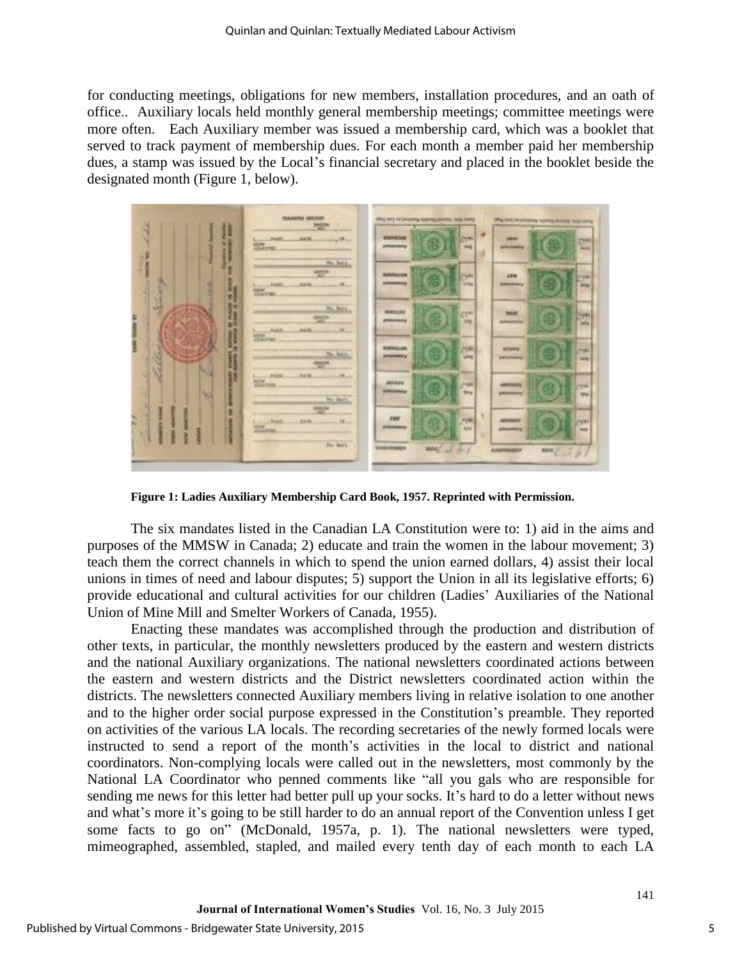for conducting meetings, obligations for new members, installation procedures, and an oath of office.. Auxiliary locals held monthly general membership meetings; committee meetings were more often. Each Auxiliary member was issued a membership card, which was a booklet that served to track payment of membership dues. For each month a member paid her membership dues, a stamp was issued by the Local's financial secretary and placed in the booklet beside the designated month (Figure 1, below).



**Figure 1: Ladies Auxiliary Membership Card Book, 1957. Reprinted with Permission.** 

The six mandates listed in the Canadian LA Constitution were to: 1) aid in the aims and purposes of the MMSW in Canada; 2) educate and train the women in the labour movement; 3) teach them the correct channels in which to spend the union earned dollars, 4) assist their local unions in times of need and labour disputes; 5) support the Union in all its legislative efforts; 6) provide educational and cultural activities for our children (Ladies' Auxiliaries of the National Union of Mine Mill and Smelter Workers of Canada, 1955).

Enacting these mandates was accomplished through the production and distribution of other texts, in particular, the monthly newsletters produced by the eastern and western districts and the national Auxiliary organizations. The national newsletters coordinated actions between the eastern and western districts and the District newsletters coordinated action within the districts. The newsletters connected Auxiliary members living in relative isolation to one another and to the higher order social purpose expressed in the Constitution's preamble. They reported on activities of the various LA locals. The recording secretaries of the newly formed locals were instructed to send a report of the month's activities in the local to district and national coordinators. Non-complying locals were called out in the newsletters, most commonly by the National LA Coordinator who penned comments like "all you gals who are responsible for sending me news for this letter had better pull up your socks. It's hard to do a letter without news and what's more it's going to be still harder to do an annual report of the Convention unless I get some facts to go on" (McDonald, 1957a, p. 1). The national newsletters were typed, mimeographed, assembled, stapled, and mailed every tenth day of each month to each LA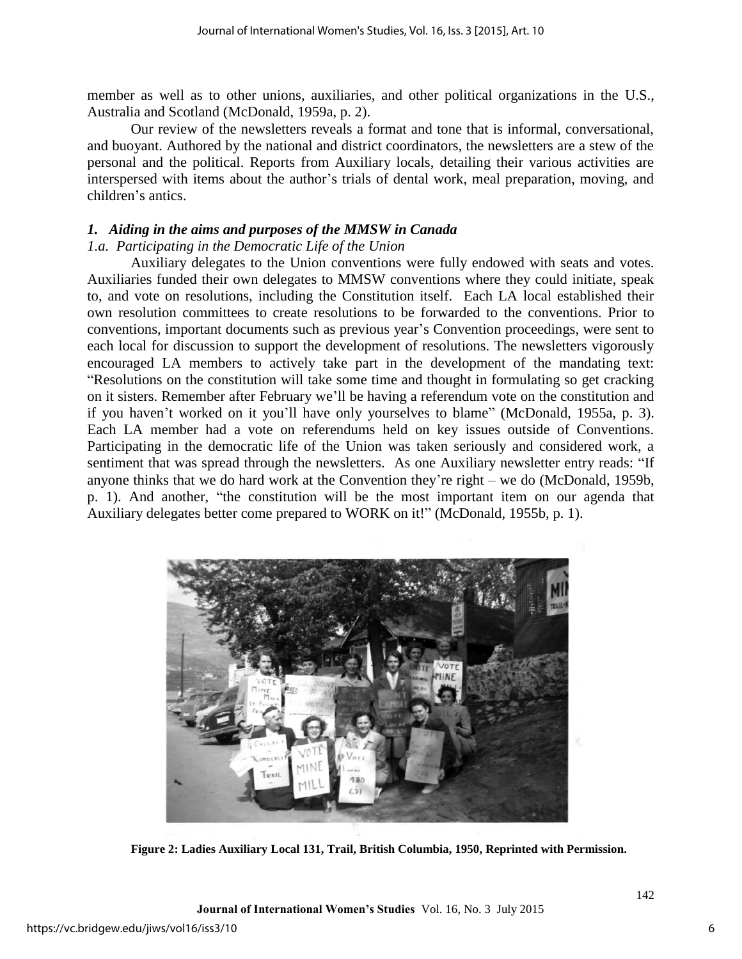member as well as to other unions, auxiliaries, and other political organizations in the U.S., Australia and Scotland (McDonald, 1959a, p. 2).

Our review of the newsletters reveals a format and tone that is informal, conversational, and buoyant. Authored by the national and district coordinators, the newsletters are a stew of the personal and the political. Reports from Auxiliary locals, detailing their various activities are interspersed with items about the author's trials of dental work, meal preparation, moving, and children's antics.

#### *1. Aiding in the aims and purposes of the MMSW in Canada*

#### *1.a. Participating in the Democratic Life of the Union*

Auxiliary delegates to the Union conventions were fully endowed with seats and votes. Auxiliaries funded their own delegates to MMSW conventions where they could initiate, speak to, and vote on resolutions, including the Constitution itself. Each LA local established their own resolution committees to create resolutions to be forwarded to the conventions. Prior to conventions, important documents such as previous year's Convention proceedings, were sent to each local for discussion to support the development of resolutions. The newsletters vigorously encouraged LA members to actively take part in the development of the mandating text: "Resolutions on the constitution will take some time and thought in formulating so get cracking on it sisters. Remember after February we'll be having a referendum vote on the constitution and if you haven't worked on it you'll have only yourselves to blame" (McDonald, 1955a, p. 3). Each LA member had a vote on referendums held on key issues outside of Conventions. Participating in the democratic life of the Union was taken seriously and considered work, a sentiment that was spread through the newsletters. As one Auxiliary newsletter entry reads: "If anyone thinks that we do hard work at the Convention they're right – we do (McDonald, 1959b, p. 1). And another, "the constitution will be the most important item on our agenda that Auxiliary delegates better come prepared to WORK on it!" (McDonald, 1955b, p. 1).



**Figure 2: Ladies Auxiliary Local 131, Trail, British Columbia, 1950, Reprinted with Permission.**

**Journal of International Women's Studies** Vol. 16, No. 3 July 2015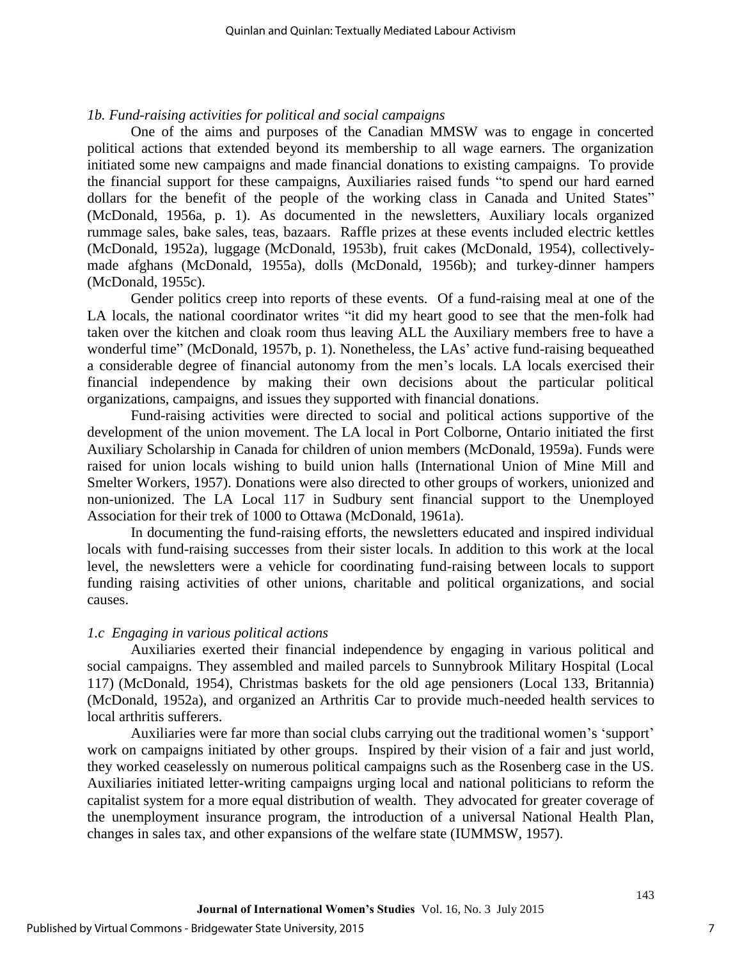#### *1b. Fund-raising activities for political and social campaigns*

One of the aims and purposes of the Canadian MMSW was to engage in concerted political actions that extended beyond its membership to all wage earners. The organization initiated some new campaigns and made financial donations to existing campaigns. To provide the financial support for these campaigns, Auxiliaries raised funds "to spend our hard earned dollars for the benefit of the people of the working class in Canada and United States" (McDonald, 1956a, p. 1). As documented in the newsletters, Auxiliary locals organized rummage sales, bake sales, teas, bazaars. Raffle prizes at these events included electric kettles (McDonald, 1952a), luggage (McDonald, 1953b), fruit cakes (McDonald, 1954), collectivelymade afghans (McDonald, 1955a), dolls (McDonald, 1956b); and turkey-dinner hampers (McDonald, 1955c).

Gender politics creep into reports of these events. Of a fund-raising meal at one of the LA locals, the national coordinator writes "it did my heart good to see that the men-folk had taken over the kitchen and cloak room thus leaving ALL the Auxiliary members free to have a wonderful time" (McDonald, 1957b, p. 1). Nonetheless, the LAs' active fund-raising bequeathed a considerable degree of financial autonomy from the men's locals. LA locals exercised their financial independence by making their own decisions about the particular political organizations, campaigns, and issues they supported with financial donations.

Fund-raising activities were directed to social and political actions supportive of the development of the union movement. The LA local in Port Colborne, Ontario initiated the first Auxiliary Scholarship in Canada for children of union members (McDonald, 1959a). Funds were raised for union locals wishing to build union halls (International Union of Mine Mill and Smelter Workers, 1957). Donations were also directed to other groups of workers, unionized and non-unionized. The LA Local 117 in Sudbury sent financial support to the Unemployed Association for their trek of 1000 to Ottawa (McDonald, 1961a).

In documenting the fund-raising efforts, the newsletters educated and inspired individual locals with fund-raising successes from their sister locals. In addition to this work at the local level, the newsletters were a vehicle for coordinating fund-raising between locals to support funding raising activities of other unions, charitable and political organizations, and social causes.

#### *1.c Engaging in various political actions*

Auxiliaries exerted their financial independence by engaging in various political and social campaigns. They assembled and mailed parcels to Sunnybrook Military Hospital (Local 117) (McDonald, 1954), Christmas baskets for the old age pensioners (Local 133, Britannia) (McDonald, 1952a), and organized an Arthritis Car to provide much-needed health services to local arthritis sufferers.

Auxiliaries were far more than social clubs carrying out the traditional women's 'support' work on campaigns initiated by other groups. Inspired by their vision of a fair and just world, they worked ceaselessly on numerous political campaigns such as the Rosenberg case in the US. Auxiliaries initiated letter-writing campaigns urging local and national politicians to reform the capitalist system for a more equal distribution of wealth. They advocated for greater coverage of the unemployment insurance program, the introduction of a universal National Health Plan, changes in sales tax, and other expansions of the welfare state (IUMMSW, 1957).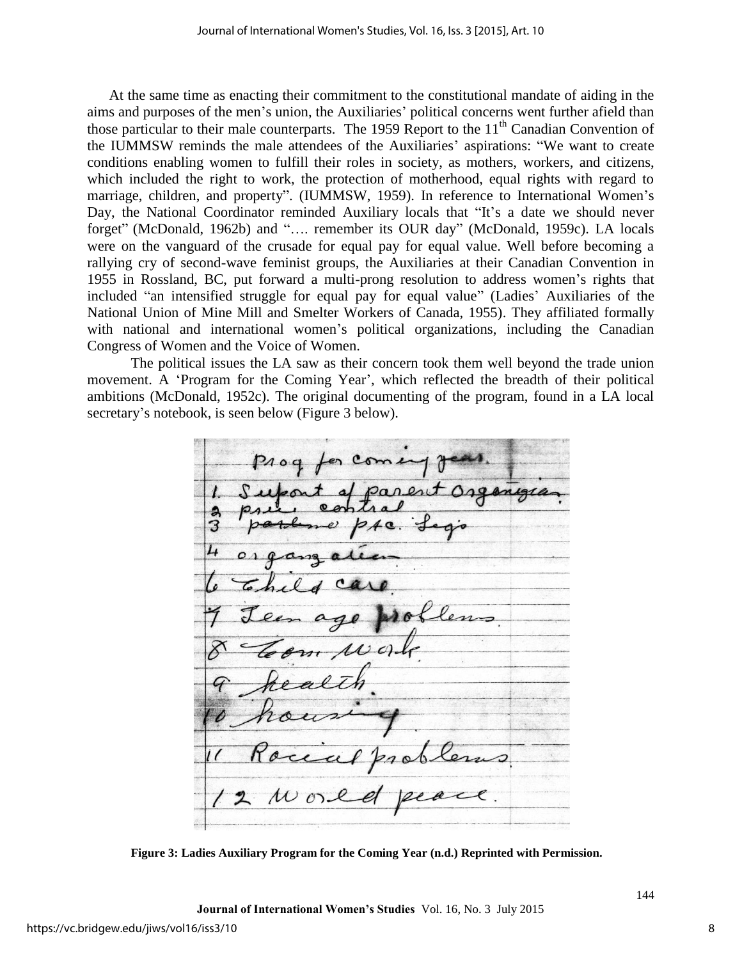At the same time as enacting their commitment to the constitutional mandate of aiding in the aims and purposes of the men's union, the Auxiliaries' political concerns went further afield than those particular to their male counterparts. The 1959 Report to the  $11<sup>th</sup>$  Canadian Convention of the IUMMSW reminds the male attendees of the Auxiliaries' aspirations: "We want to create conditions enabling women to fulfill their roles in society, as mothers, workers, and citizens, which included the right to work, the protection of motherhood, equal rights with regard to marriage, children, and property". (IUMMSW, 1959). In reference to International Women's Day, the National Coordinator reminded Auxiliary locals that "It's a date we should never forget" (McDonald, 1962b) and "…. remember its OUR day" (McDonald, 1959c). LA locals were on the vanguard of the crusade for equal pay for equal value. Well before becoming a rallying cry of second-wave feminist groups, the Auxiliaries at their Canadian Convention in 1955 in Rossland, BC, put forward a multi-prong resolution to address women's rights that included "an intensified struggle for equal pay for equal value" (Ladies' Auxiliaries of the National Union of Mine Mill and Smelter Workers of Canada, 1955). They affiliated formally with national and international women's political organizations, including the Canadian Congress of Women and the Voice of Women.

The political issues the LA saw as their concern took them well beyond the trade union movement. A 'Program for the Coming Year', which reflected the breadth of their political ambitions (McDonald, 1952c). The original documenting of the program, found in a LA local secretary's notebook, is seen below (Figure 3 below).

er Come  $2a$ ren

**Figure 3: Ladies Auxiliary Program for the Coming Year (n.d.) Reprinted with Permission.**

8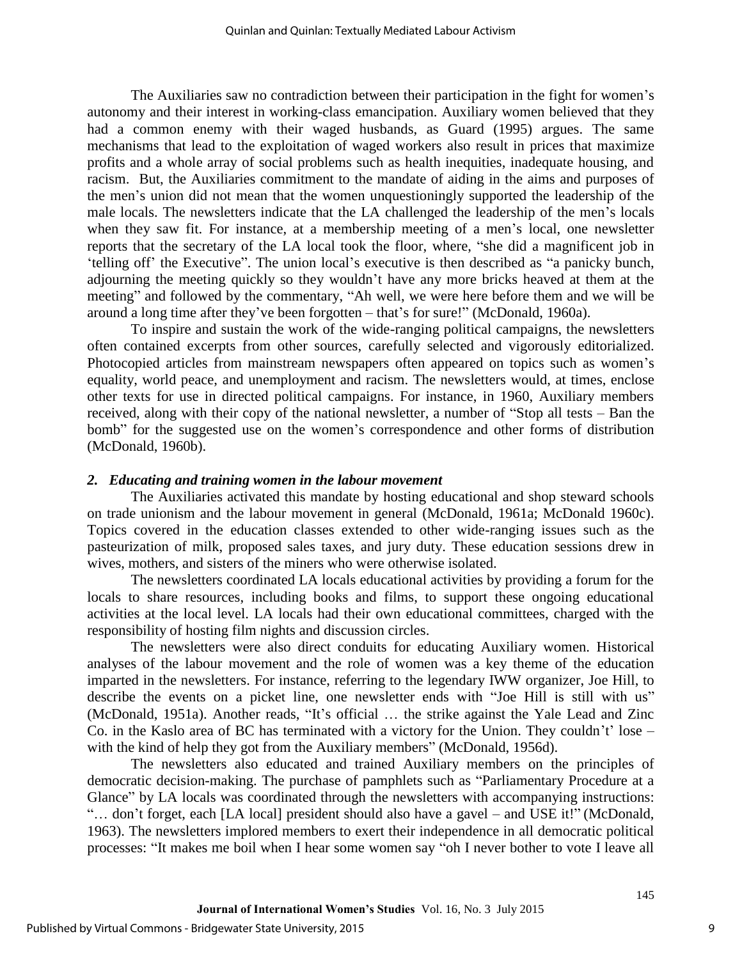The Auxiliaries saw no contradiction between their participation in the fight for women's autonomy and their interest in working-class emancipation. Auxiliary women believed that they had a common enemy with their waged husbands, as Guard (1995) argues. The same mechanisms that lead to the exploitation of waged workers also result in prices that maximize profits and a whole array of social problems such as health inequities, inadequate housing, and racism. But, the Auxiliaries commitment to the mandate of aiding in the aims and purposes of the men's union did not mean that the women unquestioningly supported the leadership of the male locals. The newsletters indicate that the LA challenged the leadership of the men's locals when they saw fit. For instance, at a membership meeting of a men's local, one newsletter reports that the secretary of the LA local took the floor, where, "she did a magnificent job in 'telling off' the Executive". The union local's executive is then described as "a panicky bunch, adjourning the meeting quickly so they wouldn't have any more bricks heaved at them at the meeting" and followed by the commentary, "Ah well, we were here before them and we will be around a long time after they've been forgotten – that's for sure!" (McDonald, 1960a).

To inspire and sustain the work of the wide-ranging political campaigns, the newsletters often contained excerpts from other sources, carefully selected and vigorously editorialized. Photocopied articles from mainstream newspapers often appeared on topics such as women's equality, world peace, and unemployment and racism. The newsletters would, at times, enclose other texts for use in directed political campaigns. For instance, in 1960, Auxiliary members received, along with their copy of the national newsletter, a number of "Stop all tests – Ban the bomb" for the suggested use on the women's correspondence and other forms of distribution (McDonald, 1960b).

#### *2. Educating and training women in the labour movement*

The Auxiliaries activated this mandate by hosting educational and shop steward schools on trade unionism and the labour movement in general (McDonald, 1961a; McDonald 1960c). Topics covered in the education classes extended to other wide-ranging issues such as the pasteurization of milk, proposed sales taxes, and jury duty. These education sessions drew in wives, mothers, and sisters of the miners who were otherwise isolated.

The newsletters coordinated LA locals educational activities by providing a forum for the locals to share resources, including books and films, to support these ongoing educational activities at the local level. LA locals had their own educational committees, charged with the responsibility of hosting film nights and discussion circles.

The newsletters were also direct conduits for educating Auxiliary women. Historical analyses of the labour movement and the role of women was a key theme of the education imparted in the newsletters. For instance, referring to the legendary IWW organizer, Joe Hill, to describe the events on a picket line, one newsletter ends with "Joe Hill is still with us" (McDonald, 1951a). Another reads, "It's official … the strike against the Yale Lead and Zinc Co. in the Kaslo area of BC has terminated with a victory for the Union. They couldn't' lose – with the kind of help they got from the Auxiliary members" (McDonald, 1956d).

The newsletters also educated and trained Auxiliary members on the principles of democratic decision-making. The purchase of pamphlets such as "Parliamentary Procedure at a Glance" by LA locals was coordinated through the newsletters with accompanying instructions: "… don't forget, each [LA local] president should also have a gavel – and USE it!" (McDonald, 1963). The newsletters implored members to exert their independence in all democratic political processes: "It makes me boil when I hear some women say "oh I never bother to vote I leave all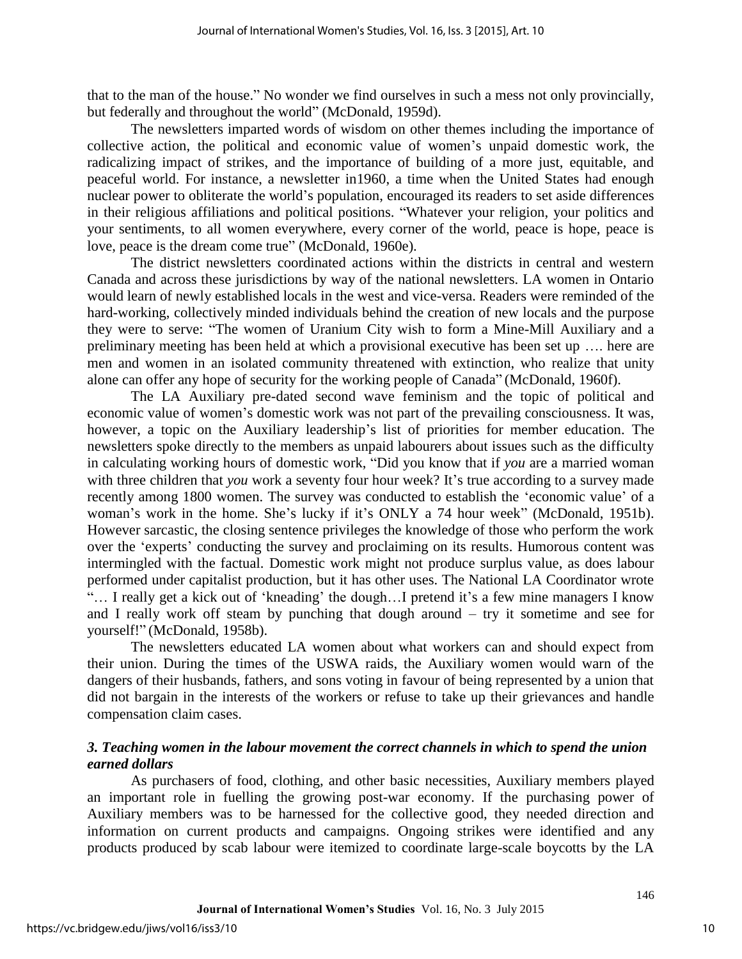that to the man of the house." No wonder we find ourselves in such a mess not only provincially, but federally and throughout the world" (McDonald, 1959d).

The newsletters imparted words of wisdom on other themes including the importance of collective action, the political and economic value of women's unpaid domestic work, the radicalizing impact of strikes, and the importance of building of a more just, equitable, and peaceful world. For instance, a newsletter in1960, a time when the United States had enough nuclear power to obliterate the world's population, encouraged its readers to set aside differences in their religious affiliations and political positions. "Whatever your religion, your politics and your sentiments, to all women everywhere, every corner of the world, peace is hope, peace is love, peace is the dream come true" (McDonald, 1960e).

The district newsletters coordinated actions within the districts in central and western Canada and across these jurisdictions by way of the national newsletters. LA women in Ontario would learn of newly established locals in the west and vice-versa. Readers were reminded of the hard-working, collectively minded individuals behind the creation of new locals and the purpose they were to serve: "The women of Uranium City wish to form a Mine-Mill Auxiliary and a preliminary meeting has been held at which a provisional executive has been set up …. here are men and women in an isolated community threatened with extinction, who realize that unity alone can offer any hope of security for the working people of Canada" (McDonald, 1960f).

The LA Auxiliary pre-dated second wave feminism and the topic of political and economic value of women's domestic work was not part of the prevailing consciousness. It was, however, a topic on the Auxiliary leadership's list of priorities for member education. The newsletters spoke directly to the members as unpaid labourers about issues such as the difficulty in calculating working hours of domestic work, "Did you know that if *you* are a married woman with three children that *you* work a seventy four hour week? It's true according to a survey made recently among 1800 women. The survey was conducted to establish the 'economic value' of a woman's work in the home. She's lucky if it's ONLY a 74 hour week" (McDonald, 1951b). However sarcastic, the closing sentence privileges the knowledge of those who perform the work over the 'experts' conducting the survey and proclaiming on its results. Humorous content was intermingled with the factual. Domestic work might not produce surplus value, as does labour performed under capitalist production, but it has other uses. The National LA Coordinator wrote "… I really get a kick out of 'kneading' the dough…I pretend it's a few mine managers I know and I really work off steam by punching that dough around – try it sometime and see for yourself!" (McDonald, 1958b).

The newsletters educated LA women about what workers can and should expect from their union. During the times of the USWA raids, the Auxiliary women would warn of the dangers of their husbands, fathers, and sons voting in favour of being represented by a union that did not bargain in the interests of the workers or refuse to take up their grievances and handle compensation claim cases.

### *3. Teaching women in the labour movement the correct channels in which to spend the union earned dollars*

As purchasers of food, clothing, and other basic necessities, Auxiliary members played an important role in fuelling the growing post-war economy. If the purchasing power of Auxiliary members was to be harnessed for the collective good, they needed direction and information on current products and campaigns. Ongoing strikes were identified and any products produced by scab labour were itemized to coordinate large-scale boycotts by the LA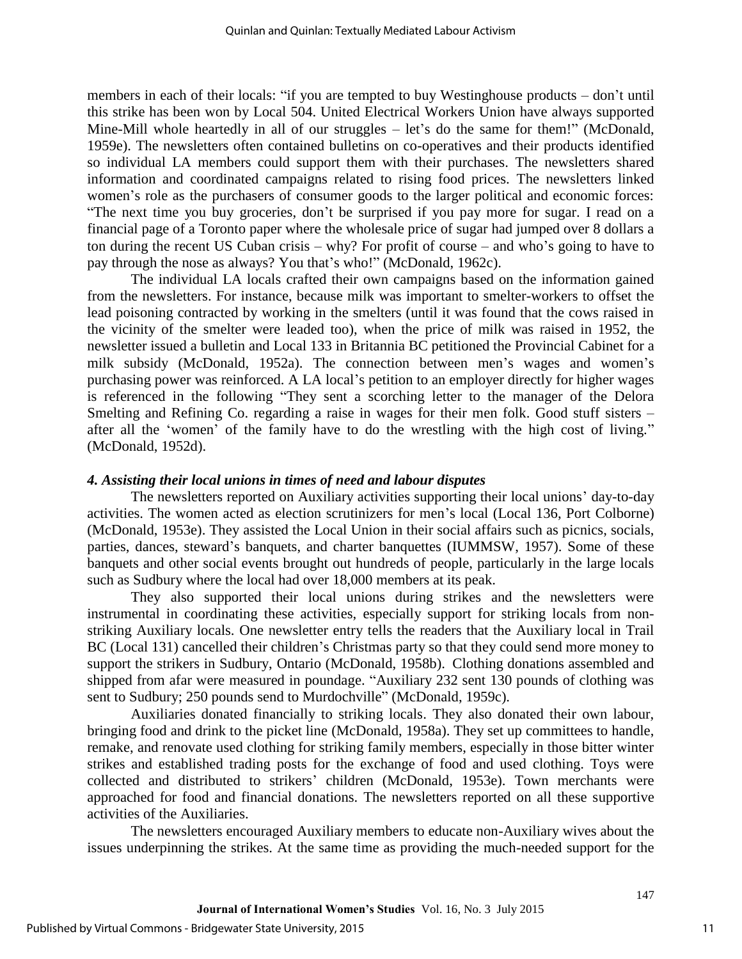members in each of their locals: "if you are tempted to buy Westinghouse products – don't until this strike has been won by Local 504. United Electrical Workers Union have always supported Mine-Mill whole heartedly in all of our struggles – let's do the same for them!" (McDonald, 1959e). The newsletters often contained bulletins on co-operatives and their products identified so individual LA members could support them with their purchases. The newsletters shared information and coordinated campaigns related to rising food prices. The newsletters linked women's role as the purchasers of consumer goods to the larger political and economic forces: "The next time you buy groceries, don't be surprised if you pay more for sugar. I read on a financial page of a Toronto paper where the wholesale price of sugar had jumped over 8 dollars a ton during the recent US Cuban crisis – why? For profit of course – and who's going to have to pay through the nose as always? You that's who!" (McDonald, 1962c).

The individual LA locals crafted their own campaigns based on the information gained from the newsletters. For instance, because milk was important to smelter-workers to offset the lead poisoning contracted by working in the smelters (until it was found that the cows raised in the vicinity of the smelter were leaded too), when the price of milk was raised in 1952, the newsletter issued a bulletin and Local 133 in Britannia BC petitioned the Provincial Cabinet for a milk subsidy (McDonald, 1952a). The connection between men's wages and women's purchasing power was reinforced. A LA local's petition to an employer directly for higher wages is referenced in the following "They sent a scorching letter to the manager of the Delora Smelting and Refining Co. regarding a raise in wages for their men folk. Good stuff sisters – after all the 'women' of the family have to do the wrestling with the high cost of living." (McDonald, 1952d).

#### *4. Assisting their local unions in times of need and labour disputes*

The newsletters reported on Auxiliary activities supporting their local unions' day-to-day activities. The women acted as election scrutinizers for men's local (Local 136, Port Colborne) (McDonald, 1953e). They assisted the Local Union in their social affairs such as picnics, socials, parties, dances, steward's banquets, and charter banquettes (IUMMSW, 1957). Some of these banquets and other social events brought out hundreds of people, particularly in the large locals such as Sudbury where the local had over 18,000 members at its peak.

They also supported their local unions during strikes and the newsletters were instrumental in coordinating these activities, especially support for striking locals from nonstriking Auxiliary locals. One newsletter entry tells the readers that the Auxiliary local in Trail BC (Local 131) cancelled their children's Christmas party so that they could send more money to support the strikers in Sudbury, Ontario (McDonald, 1958b). Clothing donations assembled and shipped from afar were measured in poundage. "Auxiliary 232 sent 130 pounds of clothing was sent to Sudbury; 250 pounds send to Murdochville" (McDonald, 1959c).

Auxiliaries donated financially to striking locals. They also donated their own labour, bringing food and drink to the picket line (McDonald, 1958a). They set up committees to handle, remake, and renovate used clothing for striking family members, especially in those bitter winter strikes and established trading posts for the exchange of food and used clothing. Toys were collected and distributed to strikers' children (McDonald, 1953e). Town merchants were approached for food and financial donations. The newsletters reported on all these supportive activities of the Auxiliaries.

The newsletters encouraged Auxiliary members to educate non-Auxiliary wives about the issues underpinning the strikes. At the same time as providing the much-needed support for the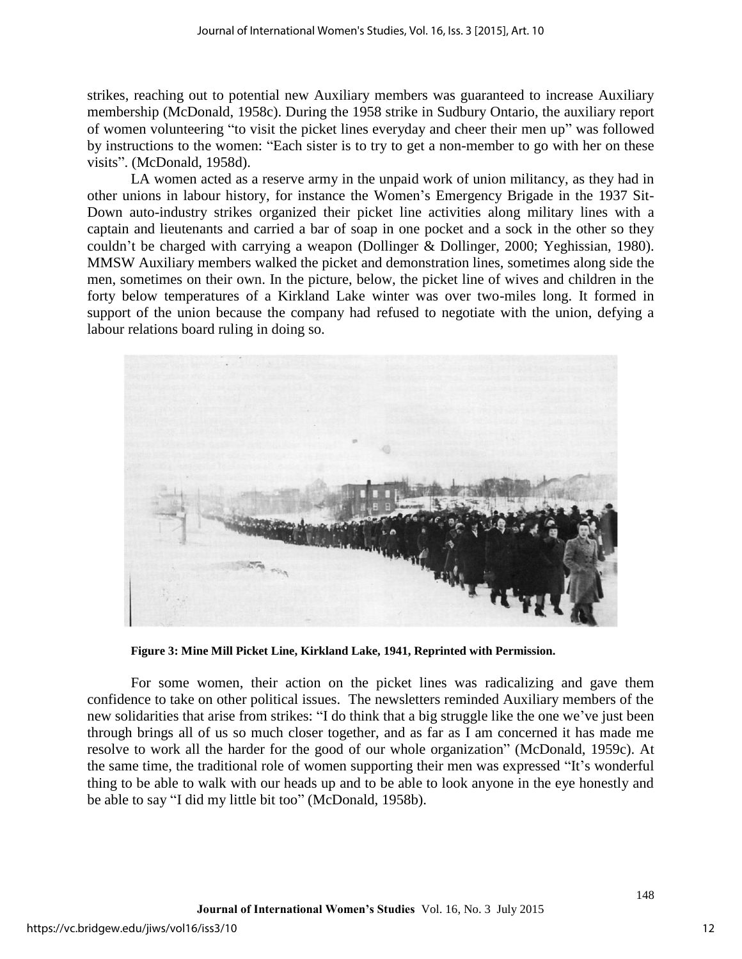strikes, reaching out to potential new Auxiliary members was guaranteed to increase Auxiliary membership (McDonald, 1958c). During the 1958 strike in Sudbury Ontario, the auxiliary report of women volunteering "to visit the picket lines everyday and cheer their men up" was followed by instructions to the women: "Each sister is to try to get a non-member to go with her on these visits". (McDonald, 1958d).

 LA women acted as a reserve army in the unpaid work of union militancy, as they had in other unions in labour history, for instance the Women's Emergency Brigade in the 1937 Sit-Down auto-industry strikes organized their picket line activities along military lines with a captain and lieutenants and carried a bar of soap in one pocket and a sock in the other so they couldn't be charged with carrying a weapon (Dollinger & Dollinger, 2000; Yeghissian, 1980). MMSW Auxiliary members walked the picket and demonstration lines, sometimes along side the men, sometimes on their own. In the picture, below, the picket line of wives and children in the forty below temperatures of a Kirkland Lake winter was over two-miles long. It formed in support of the union because the company had refused to negotiate with the union, defying a labour relations board ruling in doing so.



**Figure 3: Mine Mill Picket Line, Kirkland Lake, 1941, Reprinted with Permission.**

For some women, their action on the picket lines was radicalizing and gave them confidence to take on other political issues. The newsletters reminded Auxiliary members of the new solidarities that arise from strikes: "I do think that a big struggle like the one we've just been through brings all of us so much closer together, and as far as I am concerned it has made me resolve to work all the harder for the good of our whole organization" (McDonald, 1959c). At the same time, the traditional role of women supporting their men was expressed "It's wonderful thing to be able to walk with our heads up and to be able to look anyone in the eye honestly and be able to say "I did my little bit too" (McDonald, 1958b).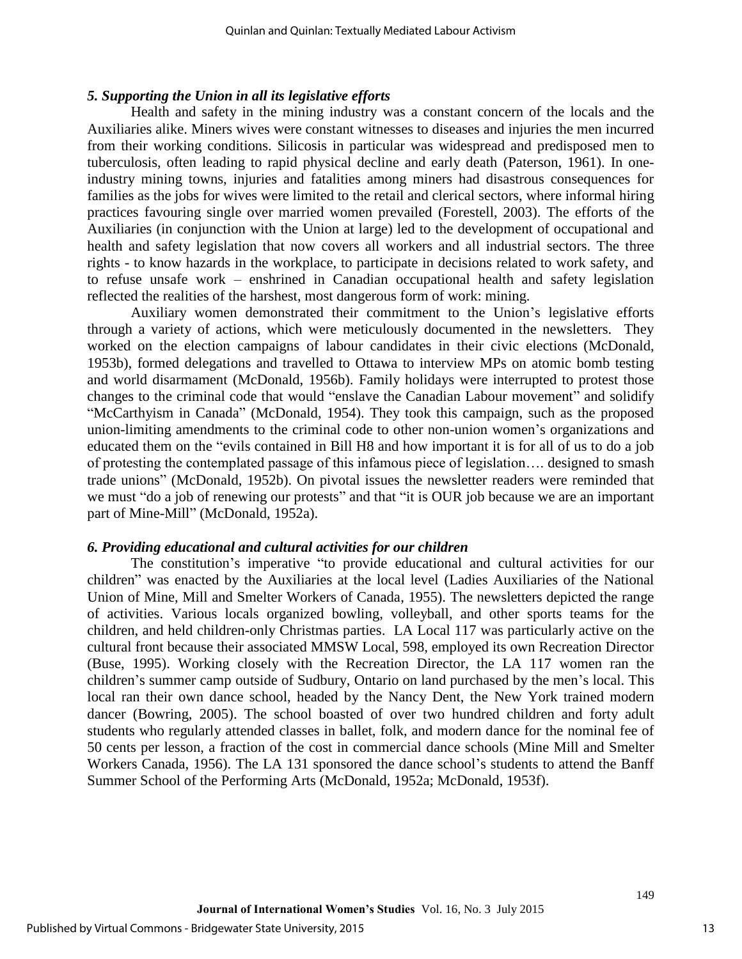#### *5. Supporting the Union in all its legislative efforts*

Health and safety in the mining industry was a constant concern of the locals and the Auxiliaries alike. Miners wives were constant witnesses to diseases and injuries the men incurred from their working conditions. Silicosis in particular was widespread and predisposed men to tuberculosis, often leading to rapid physical decline and early death (Paterson, 1961). In oneindustry mining towns, injuries and fatalities among miners had disastrous consequences for families as the jobs for wives were limited to the retail and clerical sectors, where informal hiring practices favouring single over married women prevailed (Forestell, 2003). The efforts of the Auxiliaries (in conjunction with the Union at large) led to the development of occupational and health and safety legislation that now covers all workers and all industrial sectors. The three rights - to know hazards in the workplace, to participate in decisions related to work safety, and to refuse unsafe work – enshrined in Canadian occupational health and safety legislation reflected the realities of the harshest, most dangerous form of work: mining.

Auxiliary women demonstrated their commitment to the Union's legislative efforts through a variety of actions, which were meticulously documented in the newsletters. They worked on the election campaigns of labour candidates in their civic elections (McDonald, 1953b), formed delegations and travelled to Ottawa to interview MPs on atomic bomb testing and world disarmament (McDonald, 1956b). Family holidays were interrupted to protest those changes to the criminal code that would "enslave the Canadian Labour movement" and solidify "McCarthyism in Canada" (McDonald, 1954). They took this campaign, such as the proposed union-limiting amendments to the criminal code to other non-union women's organizations and educated them on the "evils contained in Bill H8 and how important it is for all of us to do a job of protesting the contemplated passage of this infamous piece of legislation…. designed to smash trade unions" (McDonald, 1952b). On pivotal issues the newsletter readers were reminded that we must "do a job of renewing our protests" and that "it is OUR job because we are an important part of Mine-Mill" (McDonald, 1952a).

#### *6. Providing educational and cultural activities for our children*

The constitution's imperative "to provide educational and cultural activities for our children" was enacted by the Auxiliaries at the local level (Ladies Auxiliaries of the National Union of Mine, Mill and Smelter Workers of Canada, 1955). The newsletters depicted the range of activities. Various locals organized bowling, volleyball, and other sports teams for the children, and held children-only Christmas parties. LA Local 117 was particularly active on the cultural front because their associated MMSW Local, 598, employed its own Recreation Director (Buse, 1995). Working closely with the Recreation Director, the LA 117 women ran the children's summer camp outside of Sudbury, Ontario on land purchased by the men's local. This local ran their own dance school, headed by the Nancy Dent, the New York trained modern dancer (Bowring, 2005). The school boasted of over two hundred children and forty adult students who regularly attended classes in ballet, folk, and modern dance for the nominal fee of 50 cents per lesson, a fraction of the cost in commercial dance schools (Mine Mill and Smelter Workers Canada, 1956). The LA 131 sponsored the dance school's students to attend the Banff Summer School of the Performing Arts (McDonald, 1952a; McDonald, 1953f).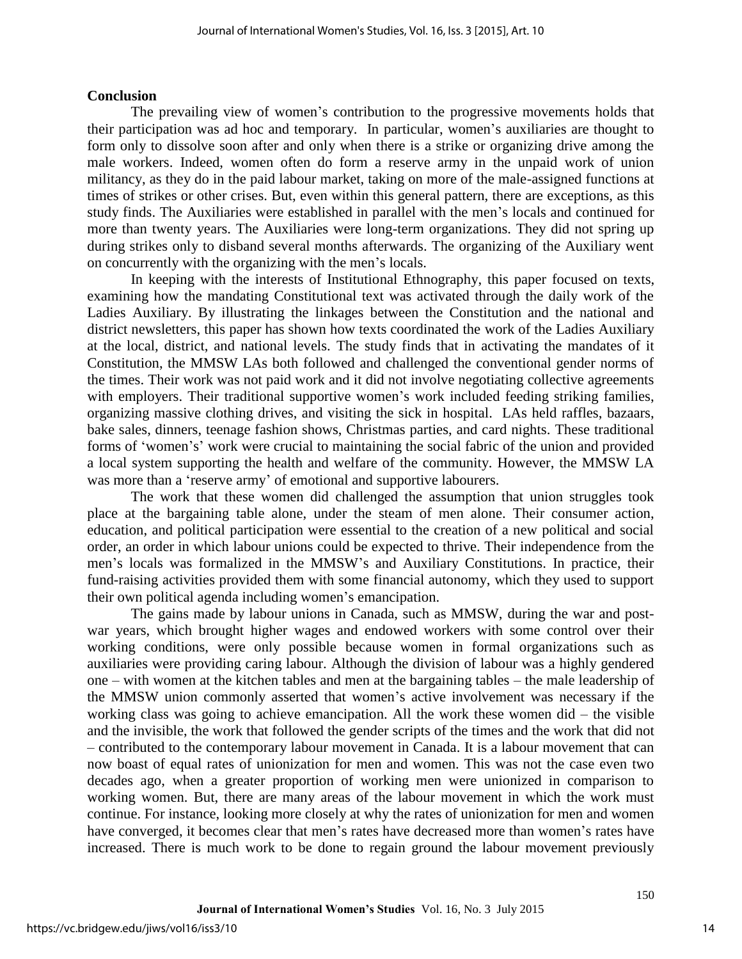#### **Conclusion**

The prevailing view of women's contribution to the progressive movements holds that their participation was ad hoc and temporary. In particular, women's auxiliaries are thought to form only to dissolve soon after and only when there is a strike or organizing drive among the male workers. Indeed, women often do form a reserve army in the unpaid work of union militancy, as they do in the paid labour market, taking on more of the male-assigned functions at times of strikes or other crises. But, even within this general pattern, there are exceptions, as this study finds. The Auxiliaries were established in parallel with the men's locals and continued for more than twenty years. The Auxiliaries were long-term organizations. They did not spring up during strikes only to disband several months afterwards. The organizing of the Auxiliary went on concurrently with the organizing with the men's locals.

In keeping with the interests of Institutional Ethnography, this paper focused on texts, examining how the mandating Constitutional text was activated through the daily work of the Ladies Auxiliary. By illustrating the linkages between the Constitution and the national and district newsletters, this paper has shown how texts coordinated the work of the Ladies Auxiliary at the local, district, and national levels. The study finds that in activating the mandates of it Constitution, the MMSW LAs both followed and challenged the conventional gender norms of the times. Their work was not paid work and it did not involve negotiating collective agreements with employers. Their traditional supportive women's work included feeding striking families, organizing massive clothing drives, and visiting the sick in hospital. LAs held raffles, bazaars, bake sales, dinners, teenage fashion shows, Christmas parties, and card nights. These traditional forms of 'women's' work were crucial to maintaining the social fabric of the union and provided a local system supporting the health and welfare of the community. However, the MMSW LA was more than a 'reserve army' of emotional and supportive labourers.

The work that these women did challenged the assumption that union struggles took place at the bargaining table alone, under the steam of men alone. Their consumer action, education, and political participation were essential to the creation of a new political and social order, an order in which labour unions could be expected to thrive. Their independence from the men's locals was formalized in the MMSW's and Auxiliary Constitutions. In practice, their fund-raising activities provided them with some financial autonomy, which they used to support their own political agenda including women's emancipation.

The gains made by labour unions in Canada, such as MMSW, during the war and postwar years, which brought higher wages and endowed workers with some control over their working conditions, were only possible because women in formal organizations such as auxiliaries were providing caring labour. Although the division of labour was a highly gendered one – with women at the kitchen tables and men at the bargaining tables – the male leadership of the MMSW union commonly asserted that women's active involvement was necessary if the working class was going to achieve emancipation. All the work these women did – the visible and the invisible, the work that followed the gender scripts of the times and the work that did not – contributed to the contemporary labour movement in Canada. It is a labour movement that can now boast of equal rates of unionization for men and women. This was not the case even two decades ago, when a greater proportion of working men were unionized in comparison to working women. But, there are many areas of the labour movement in which the work must continue. For instance, looking more closely at why the rates of unionization for men and women have converged, it becomes clear that men's rates have decreased more than women's rates have increased. There is much work to be done to regain ground the labour movement previously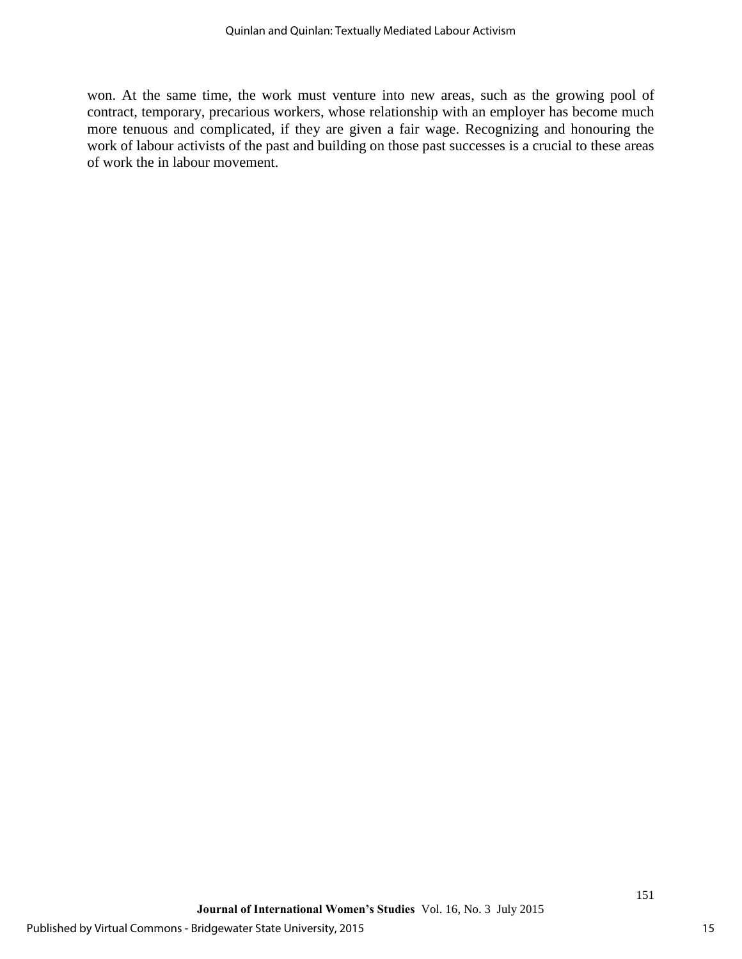won. At the same time, the work must venture into new areas, such as the growing pool of contract, temporary, precarious workers, whose relationship with an employer has become much more tenuous and complicated, if they are given a fair wage. Recognizing and honouring the work of labour activists of the past and building on those past successes is a crucial to these areas of work the in labour movement.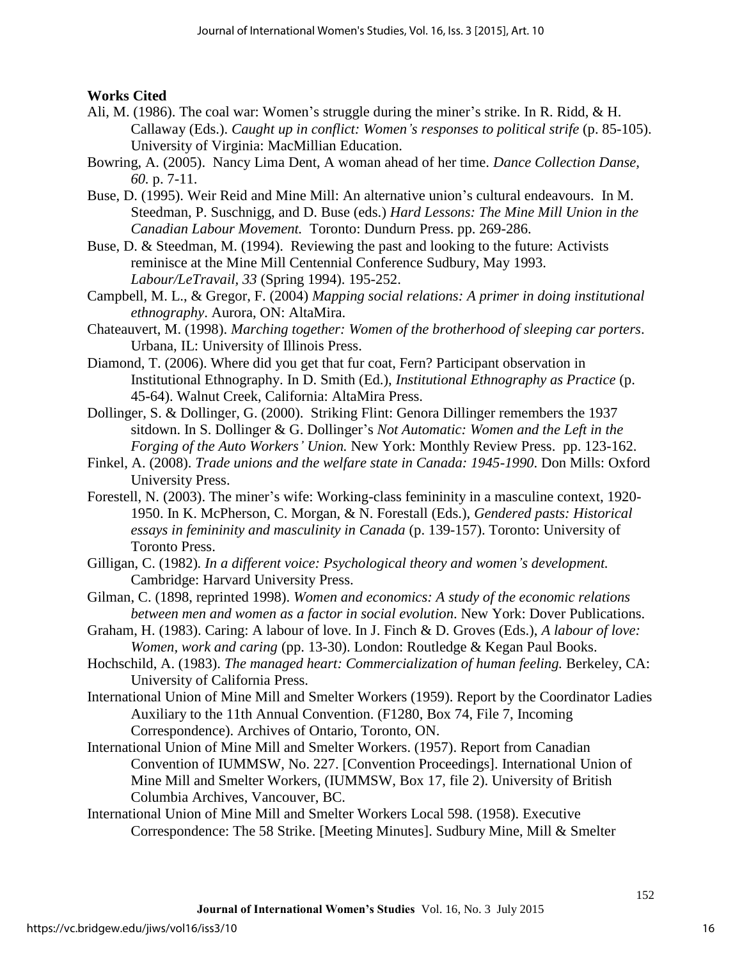**Works Cited** 

- Ali, M. (1986). The coal war: Women's struggle during the miner's strike. In R. Ridd, & H. Callaway (Eds.). *Caught up in conflict: Women's responses to political strife* (p. 85-105). University of Virginia: MacMillian Education.
- Bowring, A. (2005). Nancy Lima Dent, A woman ahead of her time. *Dance Collection Danse, 60.* p. 7-11.
- Buse, D. (1995). Weir Reid and Mine Mill: An alternative union's cultural endeavours. In M. Steedman, P. Suschnigg, and D. Buse (eds.) *Hard Lessons: The Mine Mill Union in the Canadian Labour Movement.* Toronto: Dundurn Press. pp. 269-286.
- Buse, D. & Steedman, M. (1994). Reviewing the past and looking to the future: Activists reminisce at the Mine Mill Centennial Conference Sudbury, May 1993. *Labour/LeTravail, 33* (Spring 1994). 195-252.
- Campbell, M. L., & Gregor, F. (2004) *Mapping social relations: A primer in doing institutional ethnography*. Aurora, ON: AltaMira.
- Chateauvert, M. (1998). *Marching together: Women of the brotherhood of sleeping car porters*. Urbana, IL: University of Illinois Press.
- Diamond, T. (2006). Where did you get that fur coat, Fern? Participant observation in Institutional Ethnography. In D. Smith (Ed.), *Institutional Ethnography as Practice* (p. 45-64). Walnut Creek, California: AltaMira Press.
- Dollinger, S. & Dollinger, G. (2000). Striking Flint: Genora Dillinger remembers the 1937 sitdown. In S. Dollinger & G. Dollinger's *Not Automatic: Women and the Left in the Forging of the Auto Workers' Union.* New York: Monthly Review Press. pp. 123-162.
- Finkel, A. (2008). *Trade unions and the welfare state in Canada: 1945-1990*. Don Mills: Oxford University Press.
- Forestell, N. (2003). The miner's wife: Working-class femininity in a masculine context, 1920- 1950. In K. McPherson, C. Morgan, & N. Forestall (Eds.), *Gendered pasts: Historical essays in femininity and masculinity in Canada* (p. 139-157). Toronto: University of Toronto Press.
- Gilligan, C. (1982)*. In a different voice: Psychological theory and women's development.*  Cambridge: Harvard University Press.
- Gilman, C. (1898, reprinted 1998). *Women and economics: A study of the economic relations between men and women as a factor in social evolution*. New York: Dover Publications.
- Graham, H. (1983). Caring: A labour of love. In J. Finch & D. Groves (Eds.), *A labour of love: Women, work and caring* (pp. 13-30). London: Routledge & Kegan Paul Books.
- Hochschild, A. (1983). *The managed heart: Commercialization of human feeling*. Berkeley, CA: University of California Press.
- International Union of Mine Mill and Smelter Workers (1959). Report by the Coordinator Ladies Auxiliary to the 11th Annual Convention. (F1280, Box 74, File 7, Incoming Correspondence). Archives of Ontario, Toronto, ON.
- International Union of Mine Mill and Smelter Workers. (1957). Report from Canadian Convention of IUMMSW, No. 227. [Convention Proceedings]. International Union of Mine Mill and Smelter Workers, (IUMMSW, Box 17, file 2). University of British Columbia Archives, Vancouver, BC.
- International Union of Mine Mill and Smelter Workers Local 598. (1958). Executive Correspondence: The 58 Strike. [Meeting Minutes]. Sudbury Mine, Mill & Smelter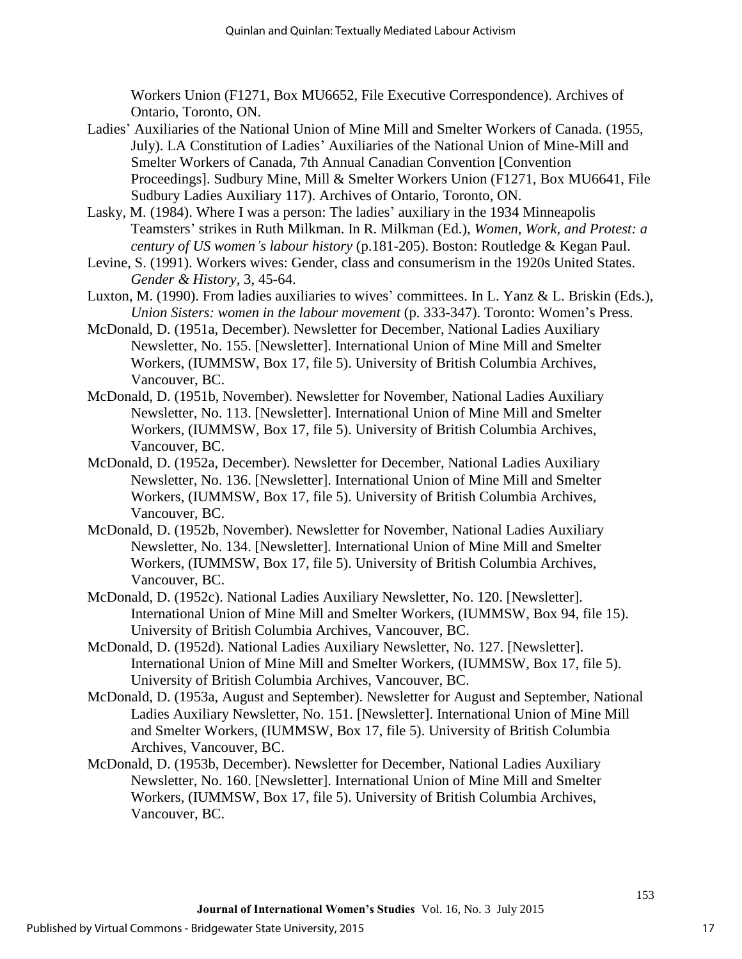Workers Union (F1271, Box MU6652, File Executive Correspondence). Archives of Ontario, Toronto, ON.

- Ladies' Auxiliaries of the National Union of Mine Mill and Smelter Workers of Canada. (1955, July). LA Constitution of Ladies' Auxiliaries of the National Union of Mine-Mill and Smelter Workers of Canada, 7th Annual Canadian Convention [Convention Proceedings]. Sudbury Mine, Mill & Smelter Workers Union (F1271, Box MU6641, File Sudbury Ladies Auxiliary 117). Archives of Ontario, Toronto, ON.
- Lasky, M. (1984). Where I was a person: The ladies' auxiliary in the 1934 Minneapolis Teamsters' strikes in Ruth Milkman. In R. Milkman (Ed.), *Women, Work, and Protest: a century of US women's labour history* (p.181-205). Boston: Routledge & Kegan Paul.
- Levine, S. (1991). Workers wives: Gender, class and consumerism in the 1920s United States. *Gender & History*, 3, 45-64.
- Luxton, M. (1990). From ladies auxiliaries to wives' committees. In L. Yanz & L. Briskin (Eds.), *Union Sisters: women in the labour movement* (p. 333-347). Toronto: Women's Press.
- McDonald, D. (1951a, December). Newsletter for December, National Ladies Auxiliary Newsletter, No. 155. [Newsletter]. International Union of Mine Mill and Smelter Workers, (IUMMSW, Box 17, file 5). University of British Columbia Archives, Vancouver, BC.
- McDonald, D. (1951b, November). Newsletter for November, National Ladies Auxiliary Newsletter, No. 113. [Newsletter]. International Union of Mine Mill and Smelter Workers, (IUMMSW, Box 17, file 5). University of British Columbia Archives, Vancouver, BC.
- McDonald, D. (1952a, December). Newsletter for December, National Ladies Auxiliary Newsletter, No. 136. [Newsletter]. International Union of Mine Mill and Smelter Workers, (IUMMSW, Box 17, file 5). University of British Columbia Archives, Vancouver, BC.
- McDonald, D. (1952b, November). Newsletter for November, National Ladies Auxiliary Newsletter, No. 134. [Newsletter]. International Union of Mine Mill and Smelter Workers, (IUMMSW, Box 17, file 5). University of British Columbia Archives, Vancouver, BC.
- McDonald, D. (1952c). National Ladies Auxiliary Newsletter, No. 120. [Newsletter]. International Union of Mine Mill and Smelter Workers, (IUMMSW, Box 94, file 15). University of British Columbia Archives, Vancouver, BC.
- McDonald, D. (1952d). National Ladies Auxiliary Newsletter, No. 127. [Newsletter]. International Union of Mine Mill and Smelter Workers, (IUMMSW, Box 17, file 5). University of British Columbia Archives, Vancouver, BC.
- McDonald, D. (1953a, August and September). Newsletter for August and September, National Ladies Auxiliary Newsletter, No. 151. [Newsletter]. International Union of Mine Mill and Smelter Workers, (IUMMSW, Box 17, file 5). University of British Columbia Archives, Vancouver, BC.
- McDonald, D. (1953b, December). Newsletter for December, National Ladies Auxiliary Newsletter, No. 160. [Newsletter]. International Union of Mine Mill and Smelter Workers, (IUMMSW, Box 17, file 5). University of British Columbia Archives, Vancouver, BC.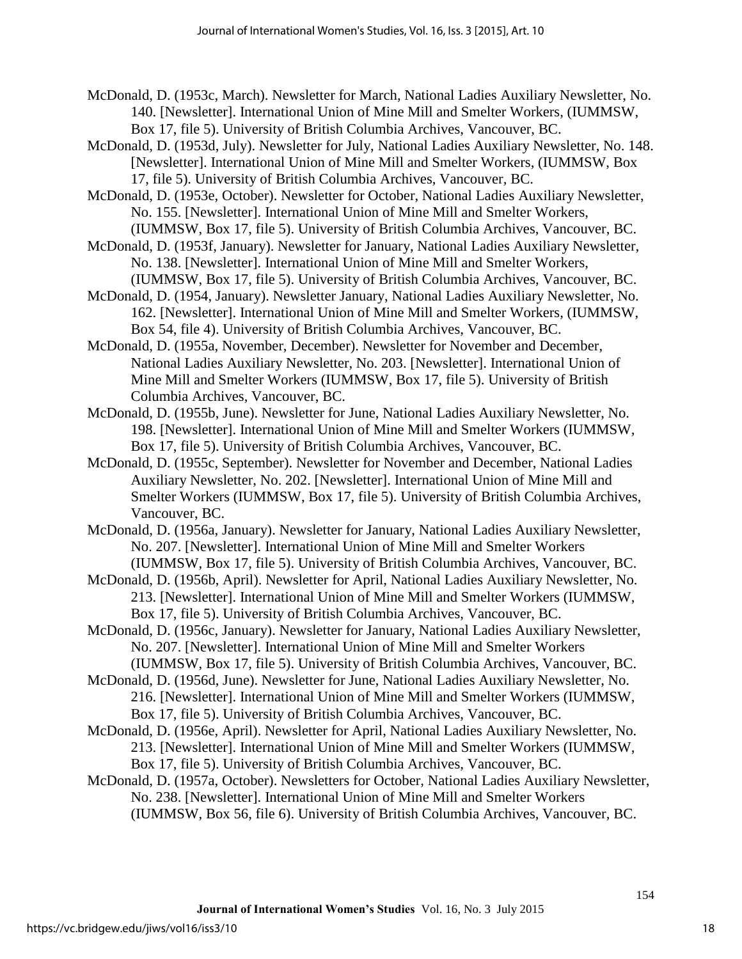McDonald, D. (1953c, March). Newsletter for March, National Ladies Auxiliary Newsletter, No. 140. [Newsletter]. International Union of Mine Mill and Smelter Workers, (IUMMSW, Box 17, file 5). University of British Columbia Archives, Vancouver, BC.

McDonald, D. (1953d, July). Newsletter for July, National Ladies Auxiliary Newsletter, No. 148. [Newsletter]. International Union of Mine Mill and Smelter Workers, (IUMMSW, Box 17, file 5). University of British Columbia Archives, Vancouver, BC.

McDonald, D. (1953e, October). Newsletter for October, National Ladies Auxiliary Newsletter, No. 155. [Newsletter]. International Union of Mine Mill and Smelter Workers, (IUMMSW, Box 17, file 5). University of British Columbia Archives, Vancouver, BC.

McDonald, D. (1953f, January). Newsletter for January, National Ladies Auxiliary Newsletter, No. 138. [Newsletter]. International Union of Mine Mill and Smelter Workers,

- (IUMMSW, Box 17, file 5). University of British Columbia Archives, Vancouver, BC. McDonald, D. (1954, January). Newsletter January, National Ladies Auxiliary Newsletter, No.
- 162. [Newsletter]. International Union of Mine Mill and Smelter Workers, (IUMMSW, Box 54, file 4). University of British Columbia Archives, Vancouver, BC.

McDonald, D. (1955a, November, December). Newsletter for November and December, National Ladies Auxiliary Newsletter, No. 203. [Newsletter]. International Union of Mine Mill and Smelter Workers (IUMMSW, Box 17, file 5). University of British Columbia Archives, Vancouver, BC.

McDonald, D. (1955b, June). Newsletter for June, National Ladies Auxiliary Newsletter, No. 198. [Newsletter]. International Union of Mine Mill and Smelter Workers (IUMMSW, Box 17, file 5). University of British Columbia Archives, Vancouver, BC.

McDonald, D. (1955c, September). Newsletter for November and December, National Ladies Auxiliary Newsletter, No. 202. [Newsletter]. International Union of Mine Mill and Smelter Workers (IUMMSW, Box 17, file 5). University of British Columbia Archives, Vancouver, BC.

McDonald, D. (1956a, January). Newsletter for January, National Ladies Auxiliary Newsletter, No. 207. [Newsletter]. International Union of Mine Mill and Smelter Workers (IUMMSW, Box 17, file 5). University of British Columbia Archives, Vancouver, BC.

McDonald, D. (1956b, April). Newsletter for April, National Ladies Auxiliary Newsletter, No. 213. [Newsletter]. International Union of Mine Mill and Smelter Workers (IUMMSW, Box 17, file 5). University of British Columbia Archives, Vancouver, BC.

McDonald, D. (1956c, January). Newsletter for January, National Ladies Auxiliary Newsletter, No. 207. [Newsletter]. International Union of Mine Mill and Smelter Workers (IUMMSW, Box 17, file 5). University of British Columbia Archives, Vancouver, BC.

McDonald, D. (1956d, June). Newsletter for June, National Ladies Auxiliary Newsletter, No. 216. [Newsletter]. International Union of Mine Mill and Smelter Workers (IUMMSW, Box 17, file 5). University of British Columbia Archives, Vancouver, BC.

McDonald, D. (1956e, April). Newsletter for April, National Ladies Auxiliary Newsletter, No. 213. [Newsletter]. International Union of Mine Mill and Smelter Workers (IUMMSW, Box 17, file 5). University of British Columbia Archives, Vancouver, BC.

McDonald, D. (1957a, October). Newsletters for October, National Ladies Auxiliary Newsletter, No. 238. [Newsletter]. International Union of Mine Mill and Smelter Workers (IUMMSW, Box 56, file 6). University of British Columbia Archives, Vancouver, BC.

18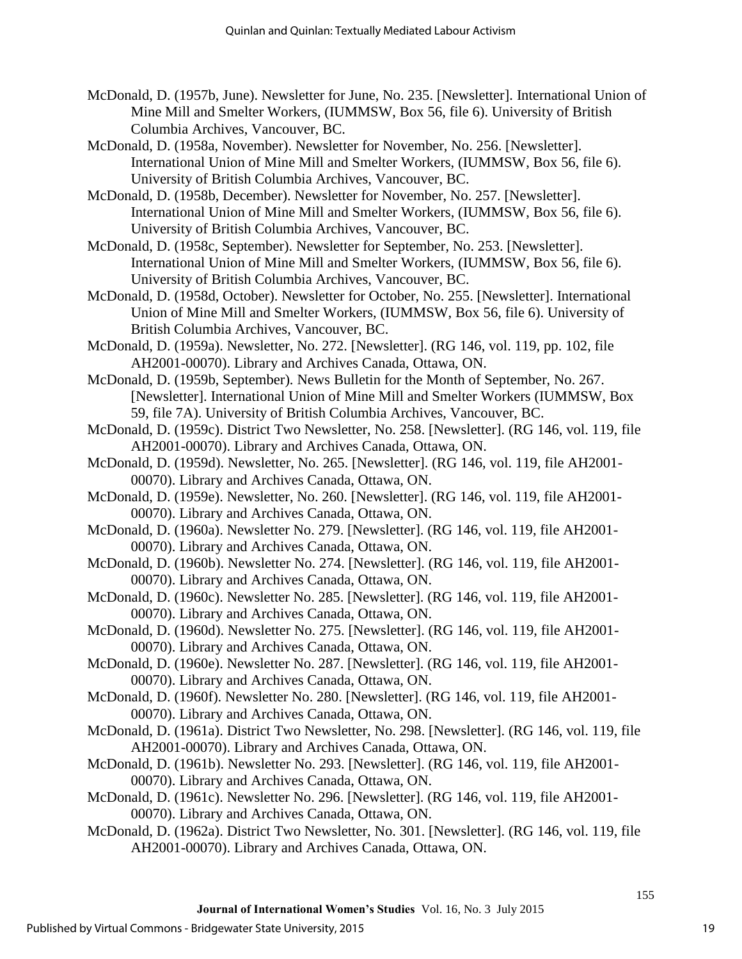- McDonald, D. (1957b, June). Newsletter for June, No. 235. [Newsletter]. International Union of Mine Mill and Smelter Workers, (IUMMSW, Box 56, file 6). University of British Columbia Archives, Vancouver, BC.
- McDonald, D. (1958a, November). Newsletter for November, No. 256. [Newsletter]. International Union of Mine Mill and Smelter Workers, (IUMMSW, Box 56, file 6). University of British Columbia Archives, Vancouver, BC.
- McDonald, D. (1958b, December). Newsletter for November, No. 257. [Newsletter]. International Union of Mine Mill and Smelter Workers, (IUMMSW, Box 56, file 6). University of British Columbia Archives, Vancouver, BC.
- McDonald, D. (1958c, September). Newsletter for September, No. 253. [Newsletter]. International Union of Mine Mill and Smelter Workers, (IUMMSW, Box 56, file 6). University of British Columbia Archives, Vancouver, BC.
- McDonald, D. (1958d, October). Newsletter for October, No. 255. [Newsletter]. International Union of Mine Mill and Smelter Workers, (IUMMSW, Box 56, file 6). University of British Columbia Archives, Vancouver, BC.
- McDonald, D. (1959a). Newsletter, No. 272. [Newsletter]. (RG 146, vol. 119, pp. 102, file AH2001-00070). Library and Archives Canada, Ottawa, ON.
- McDonald, D. (1959b, September). News Bulletin for the Month of September, No. 267. [Newsletter]. International Union of Mine Mill and Smelter Workers (IUMMSW, Box 59, file 7A). University of British Columbia Archives, Vancouver, BC.
- McDonald, D. (1959c). District Two Newsletter, No. 258. [Newsletter]. (RG 146, vol. 119, file AH2001-00070). Library and Archives Canada, Ottawa, ON.
- McDonald, D. (1959d). Newsletter, No. 265. [Newsletter]. (RG 146, vol. 119, file AH2001- 00070). Library and Archives Canada, Ottawa, ON.
- McDonald, D. (1959e). Newsletter, No. 260. [Newsletter]. (RG 146, vol. 119, file AH2001- 00070). Library and Archives Canada, Ottawa, ON.
- McDonald, D. (1960a). Newsletter No. 279. [Newsletter]. (RG 146, vol. 119, file AH2001- 00070). Library and Archives Canada, Ottawa, ON.
- McDonald, D. (1960b). Newsletter No. 274. [Newsletter]. (RG 146, vol. 119, file AH2001- 00070). Library and Archives Canada, Ottawa, ON.
- McDonald, D. (1960c). Newsletter No. 285. [Newsletter]. (RG 146, vol. 119, file AH2001- 00070). Library and Archives Canada, Ottawa, ON.
- McDonald, D. (1960d). Newsletter No. 275. [Newsletter]. (RG 146, vol. 119, file AH2001- 00070). Library and Archives Canada, Ottawa, ON.
- McDonald, D. (1960e). Newsletter No. 287. [Newsletter]. (RG 146, vol. 119, file AH2001- 00070). Library and Archives Canada, Ottawa, ON.
- McDonald, D. (1960f). Newsletter No. 280. [Newsletter]. (RG 146, vol. 119, file AH2001- 00070). Library and Archives Canada, Ottawa, ON.
- McDonald, D. (1961a). District Two Newsletter, No. 298. [Newsletter]. (RG 146, vol. 119, file AH2001-00070). Library and Archives Canada, Ottawa, ON.
- McDonald, D. (1961b). Newsletter No. 293. [Newsletter]. (RG 146, vol. 119, file AH2001- 00070). Library and Archives Canada, Ottawa, ON.
- McDonald, D. (1961c). Newsletter No. 296. [Newsletter]. (RG 146, vol. 119, file AH2001- 00070). Library and Archives Canada, Ottawa, ON.
- McDonald, D. (1962a). District Two Newsletter, No. 301. [Newsletter]. (RG 146, vol. 119, file AH2001-00070). Library and Archives Canada, Ottawa, ON.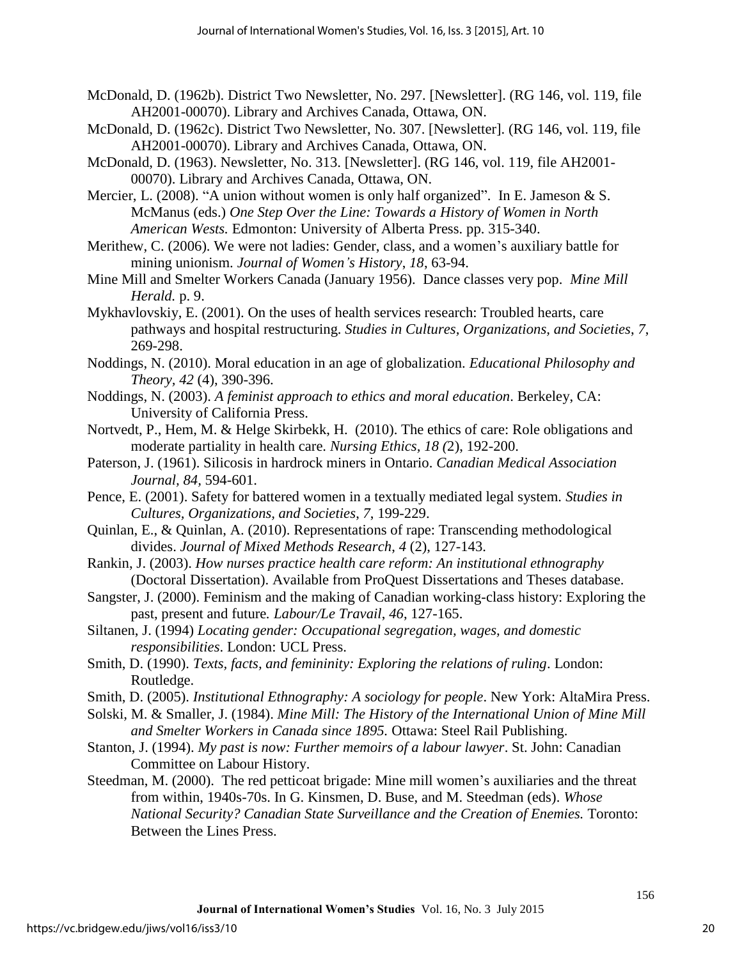- McDonald, D. (1962b). District Two Newsletter, No. 297. [Newsletter]. (RG 146, vol. 119, file AH2001-00070). Library and Archives Canada, Ottawa, ON.
- McDonald, D. (1962c). District Two Newsletter, No. 307. [Newsletter]. (RG 146, vol. 119, file AH2001-00070). Library and Archives Canada, Ottawa, ON.
- McDonald, D. (1963). Newsletter, No. 313. [Newsletter]. (RG 146, vol. 119, file AH2001- 00070). Library and Archives Canada, Ottawa, ON.
- Mercier, L. (2008). "A union without women is only half organized". In E. Jameson & S. McManus (eds.) *One Step Over the Line: Towards a History of Women in North American Wests.* Edmonton: University of Alberta Press. pp. 315-340.
- Merithew, C. (2006). We were not ladies: Gender, class, and a women's auxiliary battle for mining unionism. *Journal of Women's History*, *18*, 63-94.
- Mine Mill and Smelter Workers Canada (January 1956). Dance classes very pop. *Mine Mill Herald.* p. 9.
- Mykhavlovskiy, E. (2001). On the uses of health services research: Troubled hearts, care pathways and hospital restructuring. *Studies in Cultures, Organizations, and Societies*, *7*, 269-298.
- Noddings, N. (2010). Moral education in an age of globalization. *Educational Philosophy and Theory, 42* (4), 390-396.
- Noddings, N. (2003). *A feminist approach to ethics and moral education*. Berkeley, CA: University of California Press.
- Nortvedt, P., Hem, M. & Helge Skirbekk, H. (2010). The ethics of care: Role obligations and moderate partiality in health care. *Nursing Ethics, 18 (*2), 192-200.
- Paterson, J. (1961). Silicosis in hardrock miners in Ontario. *Canadian Medical Association Journal, 84,* 594-601.
- Pence, E. (2001). Safety for battered women in a textually mediated legal system. *Studies in Cultures, Organizations, and Societies*, *7*, 199-229.
- Quinlan, E., & Quinlan, A. (2010). Representations of rape: Transcending methodological divides. *Journal of Mixed Methods Research*, *4* (2), 127-143.
- Rankin, J. (2003). *How nurses practice health care reform: An institutional ethnography*  (Doctoral Dissertation). Available from ProQuest Dissertations and Theses database.
- Sangster, J. (2000). Feminism and the making of Canadian working-class history: Exploring the past, present and future*. Labour/Le Travail*, *46*, 127-165.
- Siltanen, J. (1994) *Locating gender: Occupational segregation, wages, and domestic responsibilities*. London: UCL Press.
- Smith, D. (1990). *Texts, facts, and femininity: Exploring the relations of ruling*. London: Routledge.
- Smith, D. (2005). *Institutional Ethnography: A sociology for people*. New York: AltaMira Press.
- Solski, M. & Smaller, J. (1984). *Mine Mill: The History of the International Union of Mine Mill and Smelter Workers in Canada since 1895.* Ottawa: Steel Rail Publishing.
- Stanton, J. (1994). *My past is now: Further memoirs of a labour lawyer*. St. John: Canadian Committee on Labour History.
- Steedman, M. (2000). The red petticoat brigade: Mine mill women's auxiliaries and the threat from within, 1940s-70s. In G. Kinsmen, D. Buse, and M. Steedman (eds). *Whose National Security? Canadian State Surveillance and the Creation of Enemies. Toronto:* Between the Lines Press.